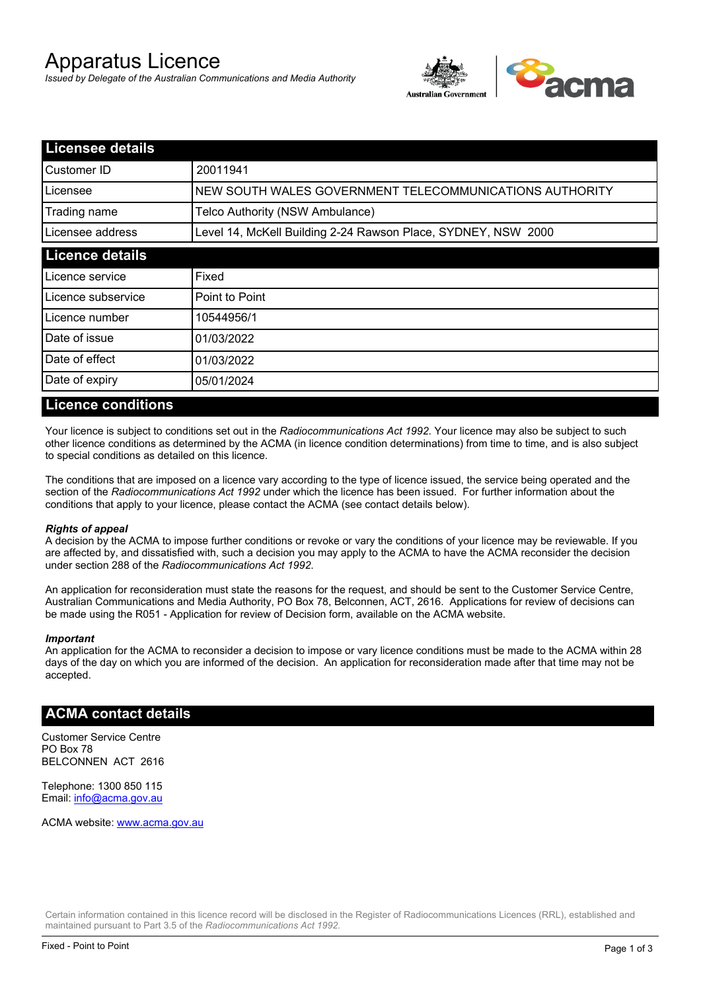# Apparatus Licence

*Issued by Delegate of the Australian Communications and Media Authority*



| <b>Licensee details</b> |                                                               |  |
|-------------------------|---------------------------------------------------------------|--|
| Customer ID             | 20011941                                                      |  |
| Licensee                | NEW SOUTH WALES GOVERNMENT TELECOMMUNICATIONS AUTHORITY       |  |
| Trading name            | Telco Authority (NSW Ambulance)                               |  |
| Licensee address        | Level 14, McKell Building 2-24 Rawson Place, SYDNEY, NSW 2000 |  |
| <b>Licence details</b>  |                                                               |  |
| Licence service         | Fixed                                                         |  |
| Licence subservice      | Point to Point                                                |  |
| Licence number          | 10544956/1                                                    |  |
| Date of issue           | 01/03/2022                                                    |  |
| <b>IDate of effect</b>  | 01/03/2022                                                    |  |
| Date of expiry          | 05/01/2024                                                    |  |

#### **Licence conditions**

Your licence is subject to conditions set out in the *Radiocommunications Act 1992*. Your licence may also be subject to such other licence conditions as determined by the ACMA (in licence condition determinations) from time to time, and is also subject to special conditions as detailed on this licence.

The conditions that are imposed on a licence vary according to the type of licence issued, the service being operated and the section of the *Radiocommunications Act 1992* under which the licence has been issued. For further information about the conditions that apply to your licence, please contact the ACMA (see contact details below).

#### *Rights of appeal*

A decision by the ACMA to impose further conditions or revoke or vary the conditions of your licence may be reviewable. If you are affected by, and dissatisfied with, such a decision you may apply to the ACMA to have the ACMA reconsider the decision under section 288 of the *Radiocommunications Act 1992*.

An application for reconsideration must state the reasons for the request, and should be sent to the Customer Service Centre, Australian Communications and Media Authority, PO Box 78, Belconnen, ACT, 2616. Applications for review of decisions can be made using the R051 - Application for review of Decision form, available on the ACMA website.

#### *Important*

An application for the ACMA to reconsider a decision to impose or vary licence conditions must be made to the ACMA within 28 days of the day on which you are informed of the decision. An application for reconsideration made after that time may not be accepted.

#### **ACMA contact details**

Customer Service Centre PO Box 78 BELCONNEN ACT 2616

Telephone: 1300 850 115 Email: info@acma.gov.au

ACMA website: www.acma.gov.au

Certain information contained in this licence record will be disclosed in the Register of Radiocommunications Licences (RRL), established and maintained pursuant to Part 3.5 of the *Radiocommunications Act 1992.*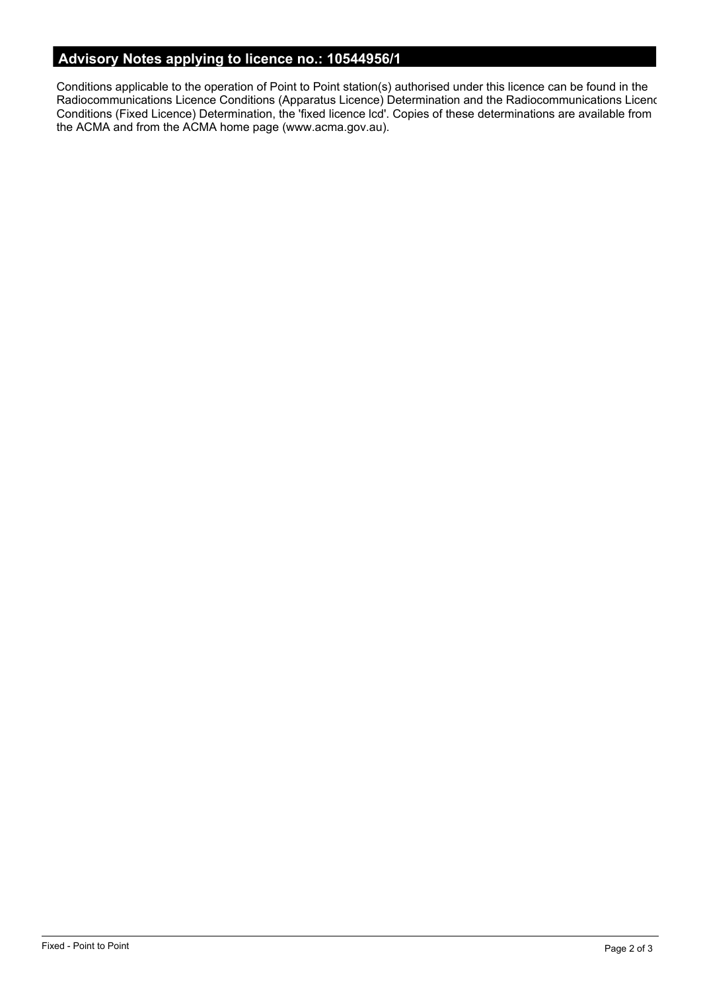# **Advisory Notes applying to licence no.: 10544956/1**

Conditions applicable to the operation of Point to Point station(s) authorised under this licence can be found in the Radiocommunications Licence Conditions (Apparatus Licence) Determination and the Radiocommunications Licence Conditions (Fixed Licence) Determination, the 'fixed licence lcd'. Copies of these determinations are available from the ACMA and from the ACMA home page (www.acma.gov.au).